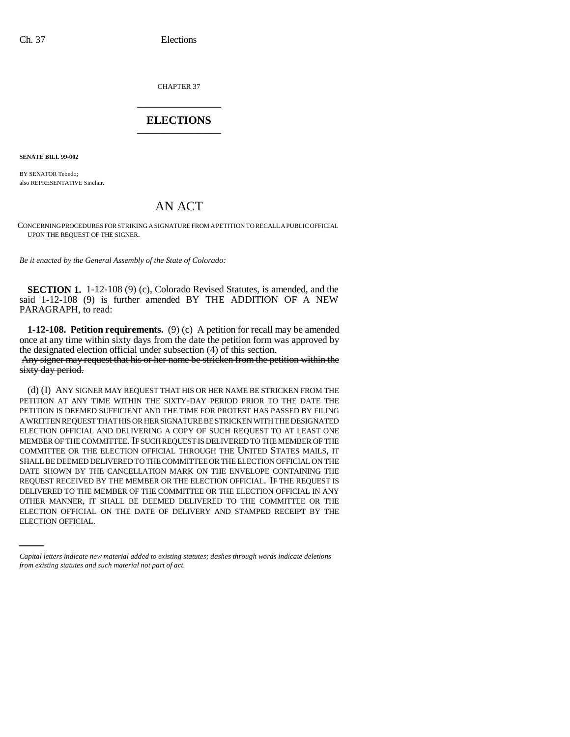CHAPTER 37 \_\_\_\_\_\_\_\_\_\_\_\_\_\_\_

## **ELECTIONS** \_\_\_\_\_\_\_\_\_\_\_\_\_\_\_

**SENATE BILL 99-002** 

BY SENATOR Tebedo; also REPRESENTATIVE Sinclair.

## AN ACT

CONCERNING PROCEDURES FOR STRIKING A SIGNATURE FROM A PETITION TO RECALL A PUBLIC OFFICIAL UPON THE REQUEST OF THE SIGNER.

*Be it enacted by the General Assembly of the State of Colorado:*

**SECTION 1.** 1-12-108 (9) (c), Colorado Revised Statutes, is amended, and the said 1-12-108 (9) is further amended BY THE ADDITION OF A NEW PARAGRAPH, to read:

**1-12-108. Petition requirements.** (9) (c) A petition for recall may be amended once at any time within sixty days from the date the petition form was approved by the designated election official under subsection (4) of this section.

 Any signer may request that his or her name be stricken from the petition within the sixty day period.

OTHER MANNER, IT SHALL BE DEEMED DELIVERED TO THE COMMITTEE OR THE (d) (I) ANY SIGNER MAY REQUEST THAT HIS OR HER NAME BE STRICKEN FROM THE PETITION AT ANY TIME WITHIN THE SIXTY-DAY PERIOD PRIOR TO THE DATE THE PETITION IS DEEMED SUFFICIENT AND THE TIME FOR PROTEST HAS PASSED BY FILING A WRITTEN REQUEST THAT HIS OR HER SIGNATURE BE STRICKEN WITH THE DESIGNATED ELECTION OFFICIAL AND DELIVERING A COPY OF SUCH REQUEST TO AT LEAST ONE MEMBER OF THE COMMITTEE. IF SUCH REQUEST IS DELIVERED TO THE MEMBER OF THE COMMITTEE OR THE ELECTION OFFICIAL THROUGH THE UNITED STATES MAILS, IT SHALL BE DEEMED DELIVERED TO THE COMMITTEE OR THE ELECTION OFFICIAL ON THE DATE SHOWN BY THE CANCELLATION MARK ON THE ENVELOPE CONTAINING THE REQUEST RECEIVED BY THE MEMBER OR THE ELECTION OFFICIAL. IF THE REQUEST IS DELIVERED TO THE MEMBER OF THE COMMITTEE OR THE ELECTION OFFICIAL IN ANY ELECTION OFFICIAL ON THE DATE OF DELIVERY AND STAMPED RECEIPT BY THE ELECTION OFFICIAL.

*Capital letters indicate new material added to existing statutes; dashes through words indicate deletions from existing statutes and such material not part of act.*